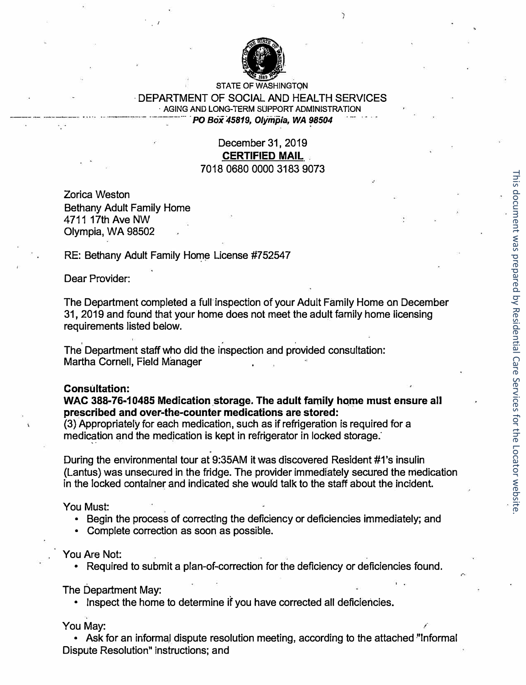

**STATE OF WASHINGTQN** 

#### · DEPARTMENT OF SOCIAL AND HEAL TH SERVICES **· AGING AND LONG-TERM SUPPORT ADMINISTRATION** ... . *PO Box 45819, Olympia, WA �8504*

### December 31, 2019 **CERTIFIED MAIL**  7018 0680 0000 3183 9073

Zorica Weston Bethany Adult Family Home 4711 17th Ave NW Olympia, WA 98502

 $\cdot$  ,  $\cdot$ 

RE: Bethany Adult Family Home License #752547

Dear Provider:

The Department completed a full inspection of your Adult Family Home on December 31, 2019 and found that your home does not meet the adult family home licensing requirements listed below.

The Department staff who did the inspection and provided consultation: Martha Cornell, Field Manager

#### **Consultation:**

**WAC 388-76-10485 Medication storage. The adult family home must ensure all prescribed and over-the-counter medications are stored:** 

(3) Appropriately for each medication, such as if refrigeration is required for a medication and the medication is kept in refrigerator in locked storage.

.

During the environmental tour at 9:35AM it was discovered Resident #1 's insulin (Lantus) was unsecured in the fridge. The provider immediately secured the medication in the locked container and indicated she would talk to the staff about the incident.

You Must:

- Begin the process of correcting the deficiency or deficiencies immediately; and
- Complete correction as soon as possible.

You Are Not:

• Required to submit a plan-of-correction for the deficiency or deficiencies found.

The Department May:

• Inspect the home to determine if you have corrected all deficiencies.

You May:

• Ask for an informal dispute resolution meeting, according to the attached "Informal Dispute Resolution" instructions; and